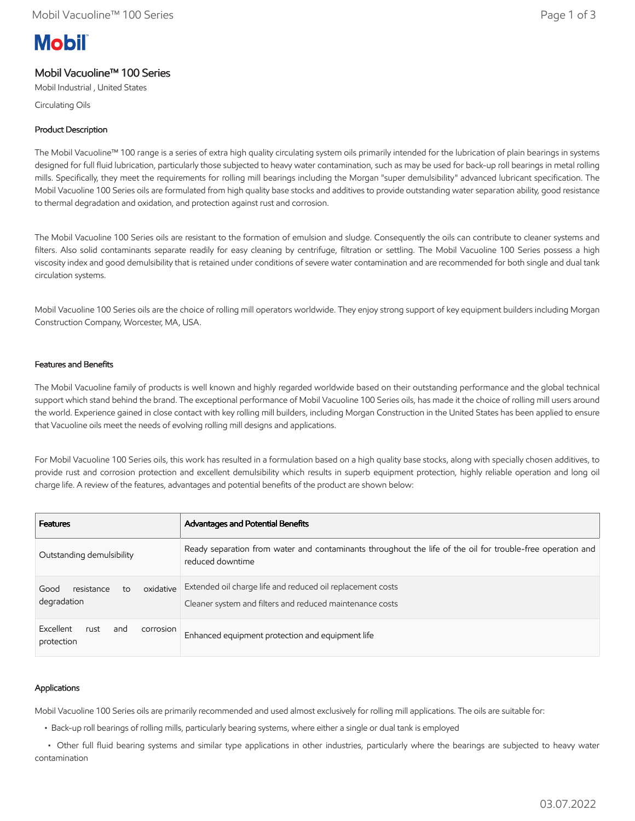# **Mobil**

# Mobil Vacuoline™ 100 Series

Mobil Industrial , United States

Circulating Oils

## Product Description

The Mobil Vacuoline™ 100 range is a series of extra high quality circulating system oils primarily intended for the lubrication of plain bearings in systems designed for full fluid lubrication, particularly those subjected to heavy water contamination, such as may be used for back-up roll bearings in metal rolling mills. Specifically, they meet the requirements for rolling mill bearings including the Morgan "super demulsibility" advanced lubricant specification. The Mobil Vacuoline 100 Series oils are formulated from high quality base stocks and additives to provide outstanding water separation ability, good resistance to thermal degradation and oxidation, and protection against rust and corrosion.

The Mobil Vacuoline 100 Series oils are resistant to the formation of emulsion and sludge. Consequently the oils can contribute to cleaner systems and filters. Also solid contaminants separate readily for easy cleaning by centrifuge, filtration or settling. The Mobil Vacuoline 100 Series possess a high viscosity index and good demulsibility that is retained under conditions of severe water contamination and are recommended for both single and dual tank circulation systems.

Mobil Vacuoline 100 Series oils are the choice of rolling mill operators worldwide. They enjoy strong support of key equipment builders including Morgan Construction Company, Worcester, MA, USA.

## Features and Benefits

The Mobil Vacuoline family of products is well known and highly regarded worldwide based on their outstanding performance and the global technical support which stand behind the brand. The exceptional performance of Mobil Vacuoline 100 Series oils, has made it the choice of rolling mill users around the world. Experience gained in close contact with key rolling mill builders, including Morgan Construction in the United States has been applied to ensure that Vacuoline oils meet the needs of evolving rolling mill designs and applications.

For Mobil Vacuoline 100 Series oils, this work has resulted in a formulation based on a high quality base stocks, along with specially chosen additives, to provide rust and corrosion protection and excellent demulsibility which results in superb equipment protection, highly reliable operation and long oil charge life. A review of the features, advantages and potential benefits of the product are shown below:

| <b>Features</b>                                      | Advantages and Potential Benefits                                                                                              |
|------------------------------------------------------|--------------------------------------------------------------------------------------------------------------------------------|
| Outstanding demulsibility                            | Ready separation from water and contaminants throughout the life of the oil for trouble-free operation and<br>reduced downtime |
| oxidative<br>resistance<br>Good<br>to<br>degradation | Extended oil charge life and reduced oil replacement costs<br>Cleaner system and filters and reduced maintenance costs         |
| Excellent<br>rust<br>corrosion<br>and<br>protection  | Enhanced equipment protection and equipment life                                                                               |

## Applications

Mobil Vacuoline 100 Series oils are primarily recommended and used almost exclusively for rolling mill applications. The oils are suitable for:

• Back-up roll bearings of rolling mills, particularly bearing systems, where either a single or dual tank is employed

 • Other full fluid bearing systems and similar type applications in other industries, particularly where the bearings are subjected to heavy water contamination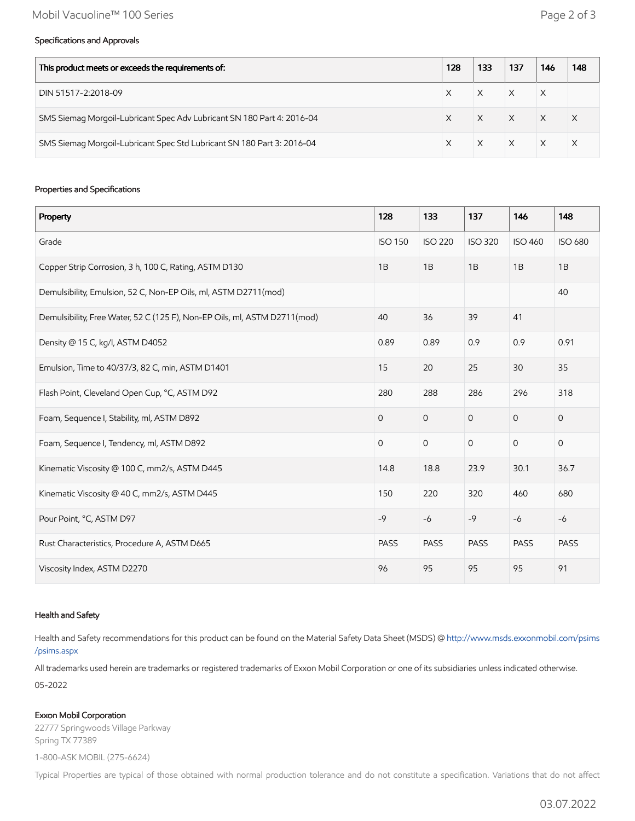#### Specifications and Approvals

| This product meets or exceeds the requirements of:                     |  | 133 | 137      | 146      | 148 |
|------------------------------------------------------------------------|--|-----|----------|----------|-----|
| DIN 51517-2:2018-09                                                    |  |     |          | X        |     |
| SMS Siemag Morgoil-Lubricant Spec Adv Lubricant SN 180 Part 4: 2016-04 |  |     | $\times$ | $\times$ |     |
| SMS Siemag Morgoil-Lubricant Spec Std Lubricant SN 180 Part 3: 2016-04 |  |     | $\times$ |          |     |

#### Properties and Specifications

| Property                                                                  | 128            | 133            | 137            | 146            | 148                 |
|---------------------------------------------------------------------------|----------------|----------------|----------------|----------------|---------------------|
| Grade                                                                     | <b>ISO 150</b> | <b>ISO 220</b> | <b>ISO 320</b> | <b>ISO 460</b> | <b>ISO 680</b>      |
| Copper Strip Corrosion, 3 h, 100 C, Rating, ASTM D130                     | 1B             | 1B             | 1B             | 1B             | 1B                  |
| Demulsibility, Emulsion, 52 C, Non-EP Oils, ml, ASTM D2711(mod)           |                |                |                |                | 40                  |
| Demulsibility, Free Water, 52 C (125 F), Non-EP Oils, ml, ASTM D2711(mod) | 40             | 36             | 39             | 41             |                     |
| Density @ 15 C, kg/l, ASTM D4052                                          | 0.89           | 0.89           | 0.9            | 0.9            | 0.91                |
| Emulsion, Time to 40/37/3, 82 C, min, ASTM D1401                          | 15             | 20             | 25             | 30             | 35                  |
| Flash Point, Cleveland Open Cup, °C, ASTM D92                             | 280            | 288            | 286            | 296            | 318                 |
| Foam, Sequence I, Stability, ml, ASTM D892                                | $\overline{O}$ | $\mathbf 0$    | $\mathbf{O}$   | $\overline{0}$ | $\mathsf{O}\xspace$ |
| Foam, Sequence I, Tendency, ml, ASTM D892                                 | $\mathbf 0$    | $\mathsf{O}$   | $\mathbf 0$    | $\mathbf 0$    | $\mathsf{O}\xspace$ |
| Kinematic Viscosity @ 100 C, mm2/s, ASTM D445                             | 14.8           | 18.8           | 23.9           | 30.1           | 36.7                |
| Kinematic Viscosity @ 40 C, mm2/s, ASTM D445                              | 150            | 220            | 320            | 460            | 680                 |
| Pour Point, °C, ASTM D97                                                  | $-9$           | $-6$           | $-9$           | $-6$           | $-6$                |
| Rust Characteristics, Procedure A, ASTM D665                              | <b>PASS</b>    | <b>PASS</b>    | <b>PASS</b>    | <b>PASS</b>    | <b>PASS</b>         |
| Viscosity Index, ASTM D2270                                               | 96             | 95             | 95             | 95             | 91                  |

#### Health and Safety

Health and Safety recommendations for this product can be found on the Material Safety Data Sheet (MSDS) @ [http://www.msds.exxonmobil.com/psims](http://www.msds.exxonmobil.com/psims/psims.aspx) /psims.aspx

All trademarks used herein are trademarks or registered trademarks of Exxon Mobil Corporation or one of its subsidiaries unless indicated otherwise. 05-2022

#### Exxon Mobil Corporation

22777 Springwoods Village Parkway Spring TX 77389 1-800-ASK MOBIL (275-6624)

Typical Properties are typical of those obtained with normal production tolerance and do not constitute a specification. Variations that do not affect